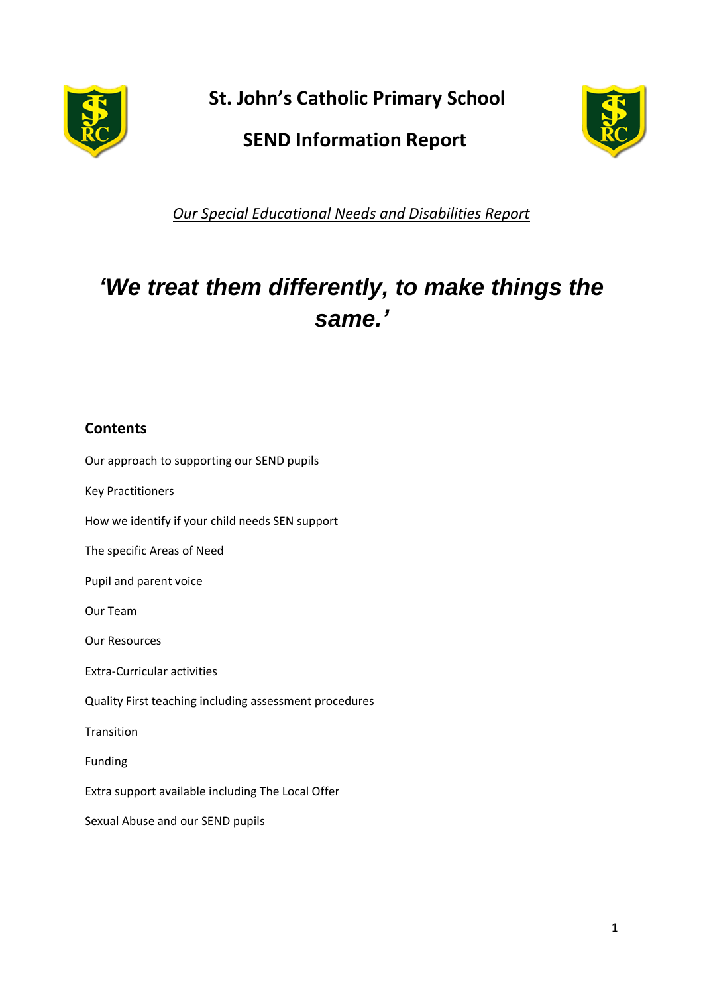

**St. John's Catholic Primary School**

## **SEND Information Report**



*Our Special Educational Needs and Disabilities Report*

# *'We treat them differently, to make things the same.'*

### **Contents**

Our approach to supporting our SEND pupils

Key Practitioners

How we identify if your child needs SEN support

The specific Areas of Need

Pupil and parent voice

Our Team

Our Resources

Extra-Curricular activities

Quality First teaching including assessment procedures

Transition

Funding

Extra support available including The Local Offer

Sexual Abuse and our SEND pupils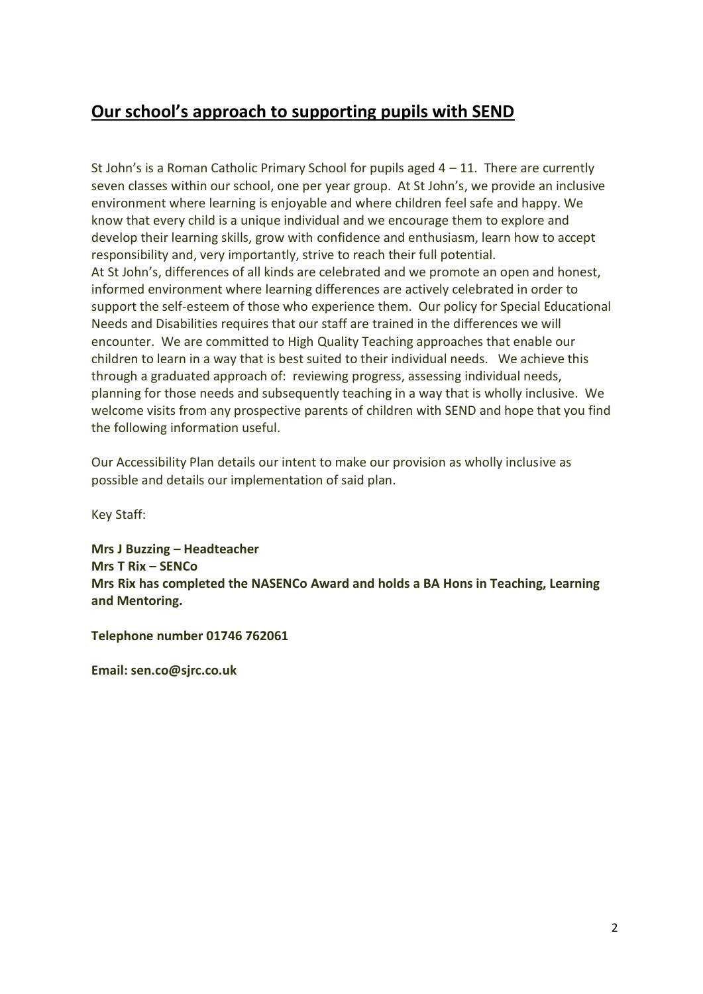### **Our school's approach to supporting pupils with SEND**

St John's is a Roman Catholic Primary School for pupils aged  $4 - 11$ . There are currently seven classes within our school, one per year group. At St John's, we provide an inclusive environment where learning is enjoyable and where children feel safe and happy. We know that every child is a unique individual and we encourage them to explore and develop their learning skills, grow with confidence and enthusiasm, learn how to accept responsibility and, very importantly, strive to reach their full potential. At St John's, differences of all kinds are celebrated and we promote an open and honest, informed environment where learning differences are actively celebrated in order to support the self-esteem of those who experience them. Our policy for Special Educational Needs and Disabilities requires that our staff are trained in the differences we will encounter. We are committed to High Quality Teaching approaches that enable our children to learn in a way that is best suited to their individual needs. We achieve this through a graduated approach of: reviewing progress, assessing individual needs, planning for those needs and subsequently teaching in a way that is wholly inclusive. We welcome visits from any prospective parents of children with SEND and hope that you find the following information useful.

Our Accessibility Plan details our intent to make our provision as wholly inclusive as possible and details our implementation of said plan.

Key Staff:

**Mrs J Buzzing – Headteacher Mrs T Rix – SENCo Mrs Rix has completed the NASENCo Award and holds a BA Hons in Teaching, Learning and Mentoring.**

**Telephone number 01746 762061**

**Email: sen.co@sjrc.co.uk**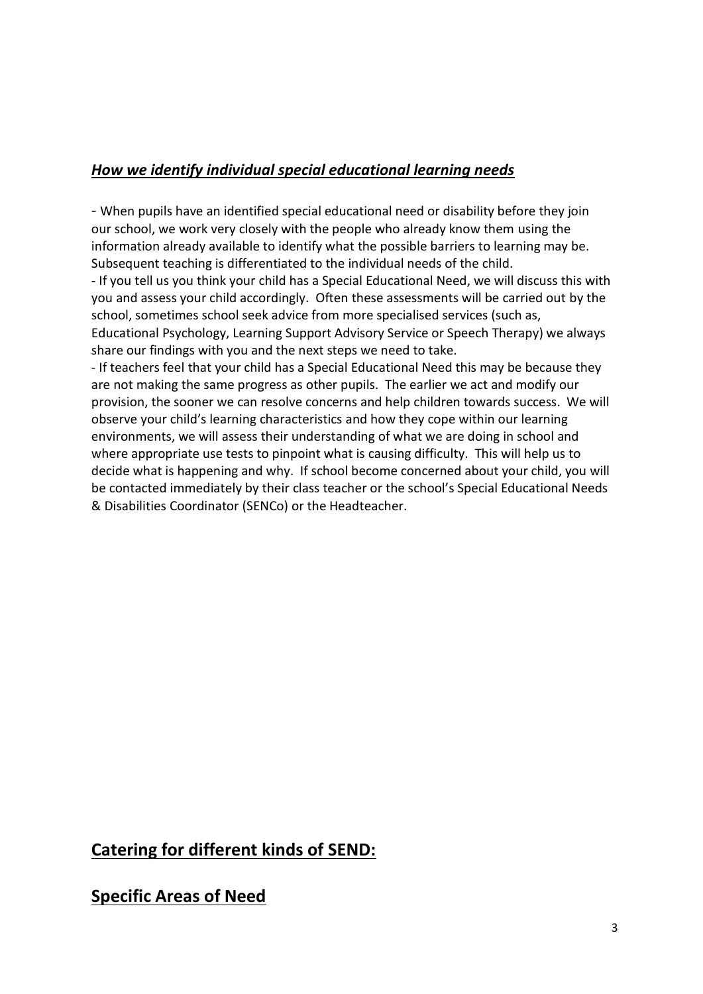### *How we identify individual special educational learning needs*

- When pupils have an identified special educational need or disability before they join our school, we work very closely with the people who already know them using the information already available to identify what the possible barriers to learning may be. Subsequent teaching is differentiated to the individual needs of the child.

- If you tell us you think your child has a Special Educational Need, we will discuss this with you and assess your child accordingly. Often these assessments will be carried out by the school, sometimes school seek advice from more specialised services (such as, Educational Psychology, Learning Support Advisory Service or Speech Therapy) we always share our findings with you and the next steps we need to take.

- If teachers feel that your child has a Special Educational Need this may be because they are not making the same progress as other pupils. The earlier we act and modify our provision, the sooner we can resolve concerns and help children towards success. We will observe your child's learning characteristics and how they cope within our learning environments, we will assess their understanding of what we are doing in school and where appropriate use tests to pinpoint what is causing difficulty. This will help us to decide what is happening and why. If school become concerned about your child, you will be contacted immediately by their class teacher or the school's Special Educational Needs & Disabilities Coordinator (SENCo) or the Headteacher.

### **Catering for different kinds of SEND:**

### **Specific Areas of Need**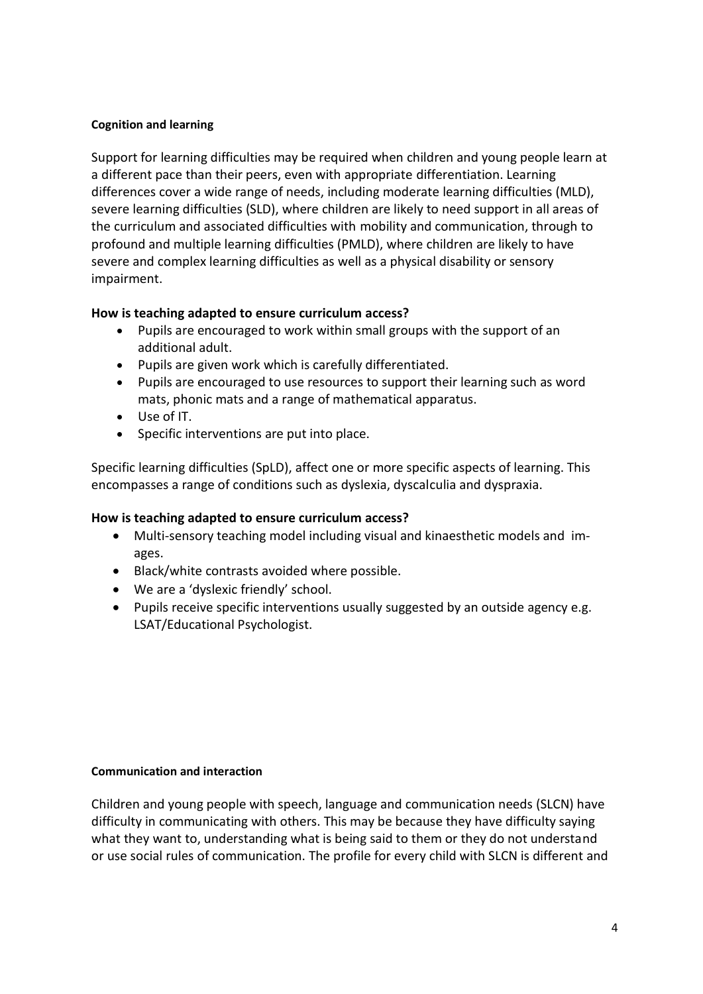#### **Cognition and learning**

Support for learning difficulties may be required when children and young people learn at a different pace than their peers, even with appropriate differentiation. Learning differences cover a wide range of needs, including moderate learning difficulties (MLD), severe learning difficulties (SLD), where children are likely to need support in all areas of the curriculum and associated difficulties with mobility and communication, through to profound and multiple learning difficulties (PMLD), where children are likely to have severe and complex learning difficulties as well as a physical disability or sensory impairment.

#### **How is teaching adapted to ensure curriculum access?**

- Pupils are encouraged to work within small groups with the support of an additional adult.
- Pupils are given work which is carefully differentiated.
- Pupils are encouraged to use resources to support their learning such as word mats, phonic mats and a range of mathematical apparatus.
- Use of IT.
- Specific interventions are put into place.

Specific learning difficulties (SpLD), affect one or more specific aspects of learning. This encompasses a range of conditions such as dyslexia, dyscalculia and dyspraxia.

#### **How is teaching adapted to ensure curriculum access?**

- Multi-sensory teaching model including visual and kinaesthetic models and images.
- Black/white contrasts avoided where possible.
- We are a 'dyslexic friendly' school.
- Pupils receive specific interventions usually suggested by an outside agency e.g. LSAT/Educational Psychologist.

#### **Communication and interaction**

Children and young people with speech, language and communication needs (SLCN) have difficulty in communicating with others. This may be because they have difficulty saying what they want to, understanding what is being said to them or they do not understand or use social rules of communication. The profile for every child with SLCN is different and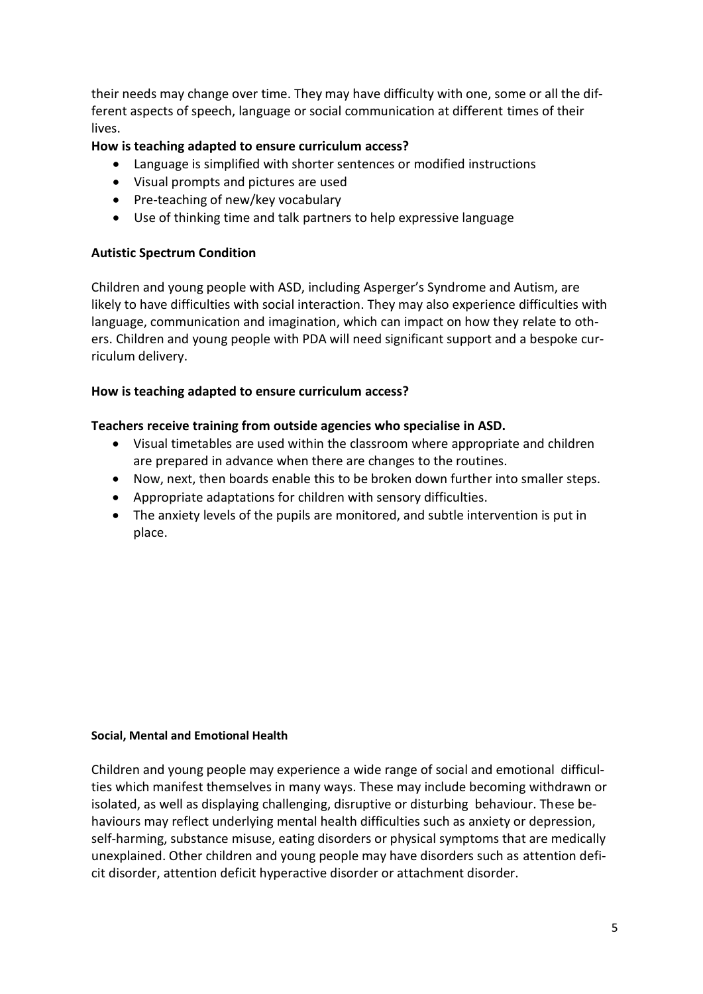their needs may change over time. They may have difficulty with one, some or all the different aspects of speech, language or social communication at different times of their lives.

#### **How is teaching adapted to ensure curriculum access?**

- Language is simplified with shorter sentences or modified instructions
- Visual prompts and pictures are used
- Pre-teaching of new/key vocabulary
- Use of thinking time and talk partners to help expressive language

#### **Autistic Spectrum Condition**

Children and young people with ASD, including Asperger's Syndrome and Autism, are likely to have difficulties with social interaction. They may also experience difficulties with language, communication and imagination, which can impact on how they relate to others. Children and young people with PDA will need significant support and a bespoke curriculum delivery.

#### **How is teaching adapted to ensure curriculum access?**

#### **Teachers receive training from outside agencies who specialise in ASD.**

- Visual timetables are used within the classroom where appropriate and children are prepared in advance when there are changes to the routines.
- Now, next, then boards enable this to be broken down further into smaller steps.
- Appropriate adaptations for children with sensory difficulties.
- The anxiety levels of the pupils are monitored, and subtle intervention is put in place.

#### **Social, Mental and Emotional Health**

Children and young people may experience a wide range of social and emotional difficulties which manifest themselves in many ways. These may include becoming withdrawn or isolated, as well as displaying challenging, disruptive or disturbing behaviour. These behaviours may reflect underlying mental health difficulties such as anxiety or depression, self-harming, substance misuse, eating disorders or physical symptoms that are medically unexplained. Other children and young people may have disorders such as attention deficit disorder, attention deficit hyperactive disorder or attachment disorder.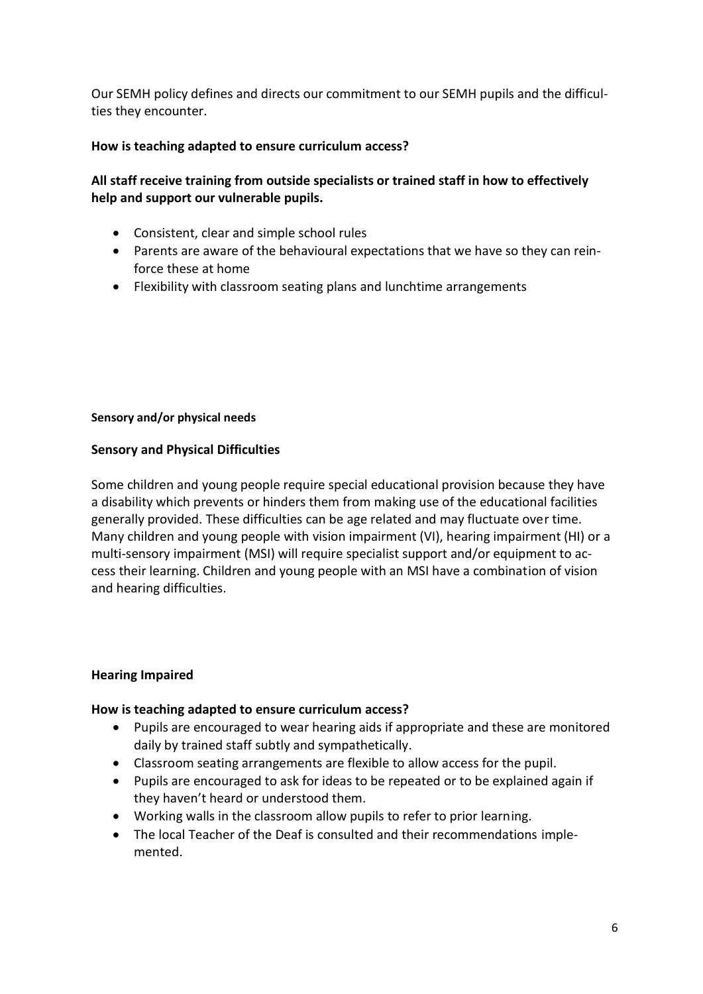Our SEMH policy defines and directs our commitment to our SEMH pupils and the difficulties they encounter.

#### **How is teaching adapted to ensure curriculum access?**

#### **All staff receive training from outside specialists or trained staff in how to effectively help and support our vulnerable pupils.**

- Consistent, clear and simple school rules
- Parents are aware of the behavioural expectations that we have so they can reinforce these at home
- Flexibility with classroom seating plans and lunchtime arrangements

#### **Sensory and/or physical needs**

#### **Sensory and Physical Difficulties**

Some children and young people require special educational provision because they have a disability which prevents or hinders them from making use of the educational facilities generally provided. These difficulties can be age related and may fluctuate over time. Many children and young people with vision impairment (VI), hearing impairment (HI) or a multi-sensory impairment (MSI) will require specialist support and/or equipment to access their learning. Children and young people with an MSI have a combination of vision and hearing difficulties.

#### **Hearing Impaired**

#### **How is teaching adapted to ensure curriculum access?**

- Pupils are encouraged to wear hearing aids if appropriate and these are monitored daily by trained staff subtly and sympathetically.
- Classroom seating arrangements are flexible to allow access for the pupil.
- Pupils are encouraged to ask for ideas to be repeated or to be explained again if they haven't heard or understood them.
- Working walls in the classroom allow pupils to refer to prior learning.
- The local Teacher of the Deaf is consulted and their recommendations implemented.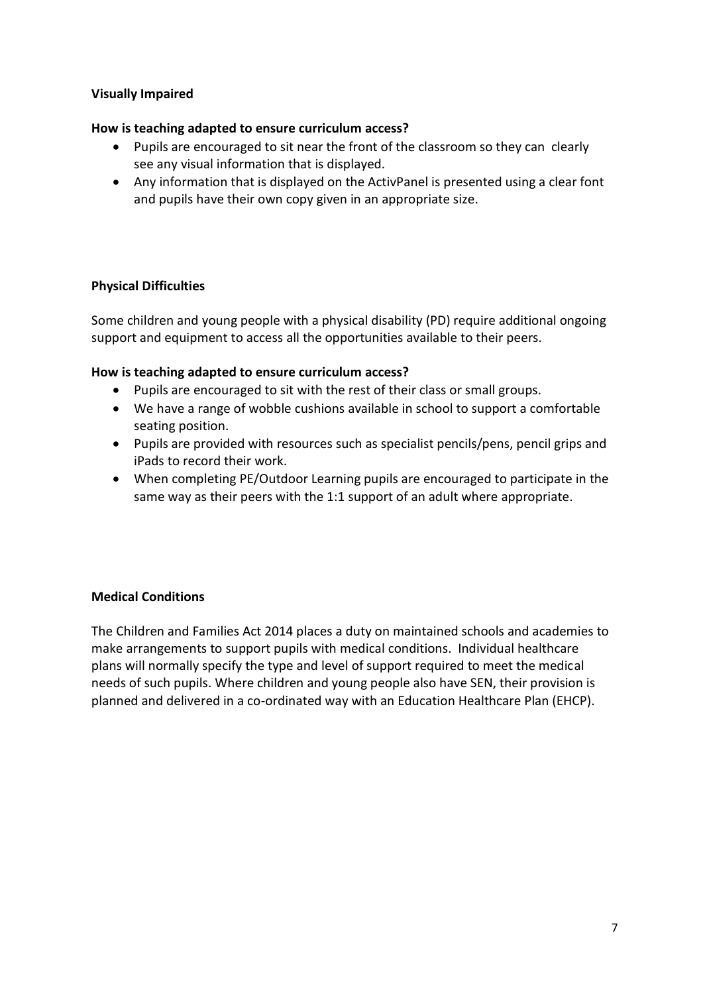#### **Visually Impaired**

#### **How is teaching adapted to ensure curriculum access?**

- Pupils are encouraged to sit near the front of the classroom so they can clearly see any visual information that is displayed.
- Any information that is displayed on the ActivPanel is presented using a clear font and pupils have their own copy given in an appropriate size.

#### **Physical Difficulties**

Some children and young people with a physical disability (PD) require additional ongoing support and equipment to access all the opportunities available to their peers.

#### **How is teaching adapted to ensure curriculum access?**

- Pupils are encouraged to sit with the rest of their class or small groups.
- We have a range of wobble cushions available in school to support a comfortable seating position.
- Pupils are provided with resources such as specialist pencils/pens, pencil grips and iPads to record their work.
- When completing PE/Outdoor Learning pupils are encouraged to participate in the same way as their peers with the 1:1 support of an adult where appropriate.

#### **Medical Conditions**

The Children and Families Act 2014 places a duty on maintained schools and academies to make arrangements to support pupils with medical conditions. Individual healthcare plans will normally specify the type and level of support required to meet the medical needs of such pupils. Where children and young people also have SEN, their provision is planned and delivered in a co-ordinated way with an Education Healthcare Plan (EHCP).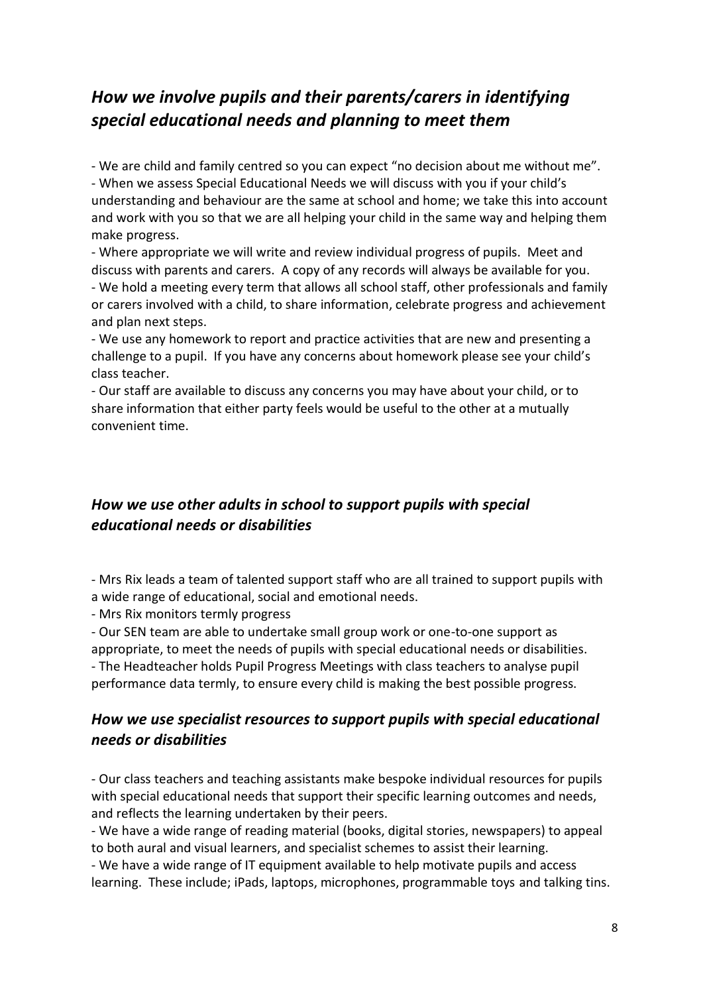### *How we involve pupils and their parents/carers in identifying special educational needs and planning to meet them*

- We are child and family centred so you can expect "no decision about me without me". - When we assess Special Educational Needs we will discuss with you if your child's understanding and behaviour are the same at school and home; we take this into account and work with you so that we are all helping your child in the same way and helping them make progress.

- Where appropriate we will write and review individual progress of pupils. Meet and discuss with parents and carers. A copy of any records will always be available for you. - We hold a meeting every term that allows all school staff, other professionals and family or carers involved with a child, to share information, celebrate progress and achievement and plan next steps.

- We use any homework to report and practice activities that are new and presenting a challenge to a pupil. If you have any concerns about homework please see your child's class teacher.

- Our staff are available to discuss any concerns you may have about your child, or to share information that either party feels would be useful to the other at a mutually convenient time.

### *How we use other adults in school to support pupils with special educational needs or disabilities*

- Mrs Rix leads a team of talented support staff who are all trained to support pupils with a wide range of educational, social and emotional needs.

- Mrs Rix monitors termly progress

- Our SEN team are able to undertake small group work or one-to-one support as appropriate, to meet the needs of pupils with special educational needs or disabilities. - The Headteacher holds Pupil Progress Meetings with class teachers to analyse pupil performance data termly, to ensure every child is making the best possible progress.

### *How we use specialist resources to support pupils with special educational needs or disabilities*

- Our class teachers and teaching assistants make bespoke individual resources for pupils with special educational needs that support their specific learning outcomes and needs, and reflects the learning undertaken by their peers.

- We have a wide range of reading material (books, digital stories, newspapers) to appeal to both aural and visual learners, and specialist schemes to assist their learning. - We have a wide range of IT equipment available to help motivate pupils and access learning. These include; iPads, laptops, microphones, programmable toys and talking tins.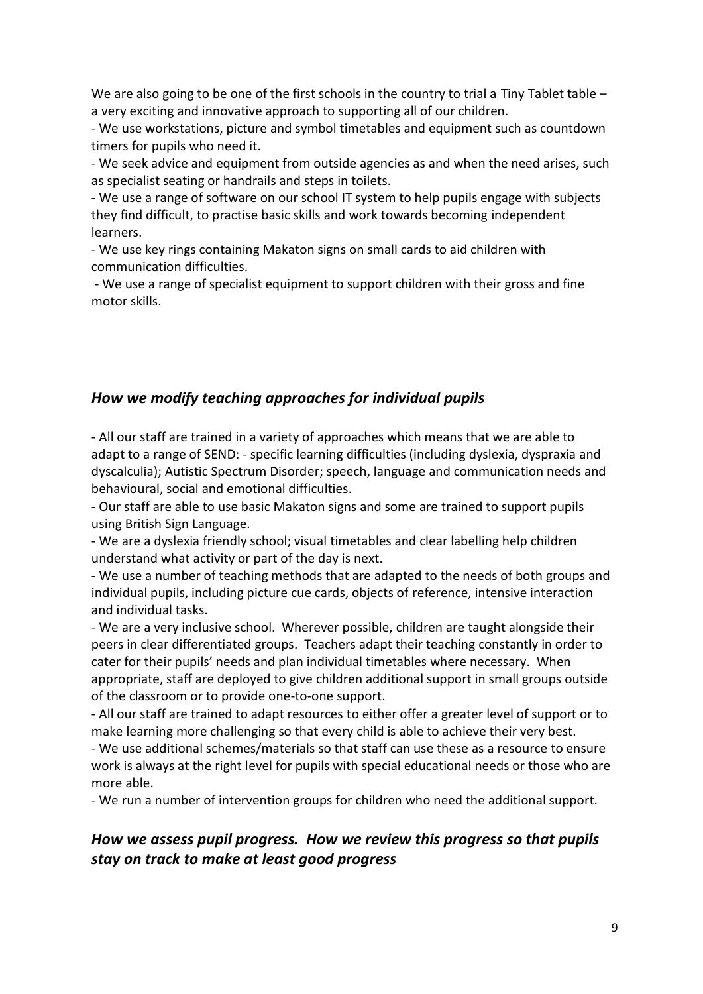We are also going to be one of the first schools in the country to trial a Tiny Tablet table  $$ a very exciting and innovative approach to supporting all of our children.

- We use workstations, picture and symbol timetables and equipment such as countdown timers for pupils who need it.

- We seek advice and equipment from outside agencies as and when the need arises, such as specialist seating or handrails and steps in toilets.

- We use a range of software on our school IT system to help pupils engage with subjects they find difficult, to practise basic skills and work towards becoming independent learners.

- We use key rings containing Makaton signs on small cards to aid children with communication difficulties.

- We use a range of specialist equipment to support children with their gross and fine motor skills.

### *How we modify teaching approaches for individual pupils*

- All our staff are trained in a variety of approaches which means that we are able to adapt to a range of SEND: - specific learning difficulties (including dyslexia, dyspraxia and dyscalculia); Autistic Spectrum Disorder; speech, language and communication needs and behavioural, social and emotional difficulties.

- Our staff are able to use basic Makaton signs and some are trained to support pupils using British Sign Language.

- We are a dyslexia friendly school; visual timetables and clear labelling help children understand what activity or part of the day is next.

- We use a number of teaching methods that are adapted to the needs of both groups and individual pupils, including picture cue cards, objects of reference, intensive interaction and individual tasks.

- We are a very inclusive school. Wherever possible, children are taught alongside their peers in clear differentiated groups. Teachers adapt their teaching constantly in order to cater for their pupils' needs and plan individual timetables where necessary. When appropriate, staff are deployed to give children additional support in small groups outside of the classroom or to provide one-to-one support.

- All our staff are trained to adapt resources to either offer a greater level of support or to make learning more challenging so that every child is able to achieve their very best.

- We use additional schemes/materials so that staff can use these as a resource to ensure work is always at the right level for pupils with special educational needs or those who are more able.

- We run a number of intervention groups for children who need the additional support.

### *How we assess pupil progress. How we review this progress so that pupils stay on track to make at least good progress*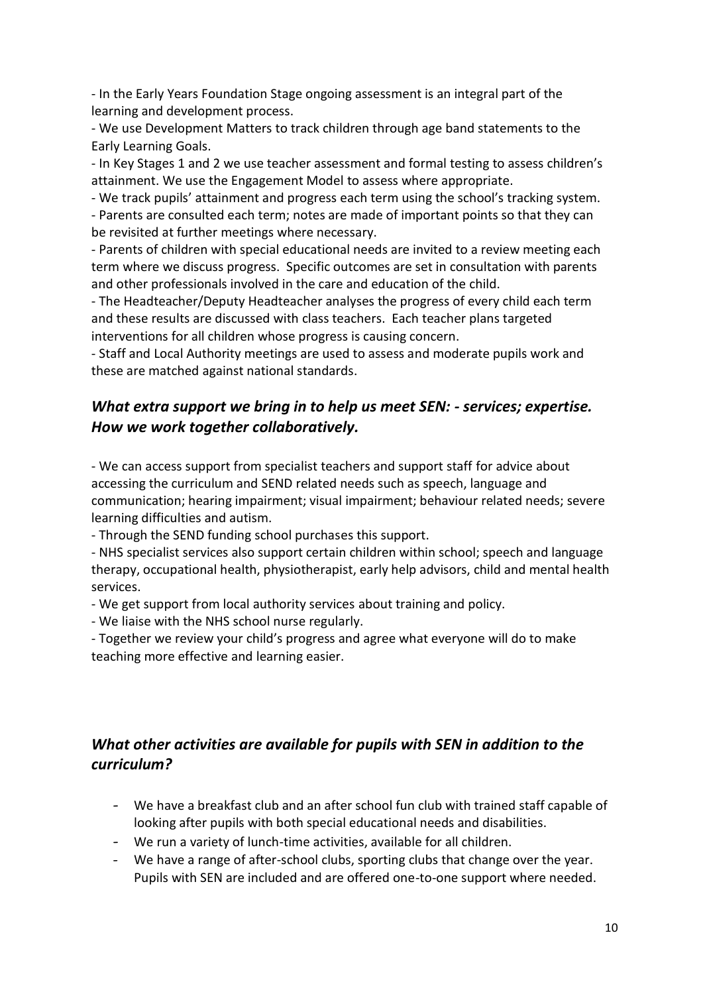- In the Early Years Foundation Stage ongoing assessment is an integral part of the learning and development process.

- We use Development Matters to track children through age band statements to the Early Learning Goals.

- In Key Stages 1 and 2 we use teacher assessment and formal testing to assess children's attainment. We use the Engagement Model to assess where appropriate.

- We track pupils' attainment and progress each term using the school's tracking system.

- Parents are consulted each term; notes are made of important points so that they can be revisited at further meetings where necessary.

- Parents of children with special educational needs are invited to a review meeting each term where we discuss progress. Specific outcomes are set in consultation with parents and other professionals involved in the care and education of the child.

- The Headteacher/Deputy Headteacher analyses the progress of every child each term and these results are discussed with class teachers. Each teacher plans targeted interventions for all children whose progress is causing concern.

- Staff and Local Authority meetings are used to assess and moderate pupils work and these are matched against national standards.

### *What extra support we bring in to help us meet SEN: - services; expertise. How we work together collaboratively.*

- We can access support from specialist teachers and support staff for advice about accessing the curriculum and SEND related needs such as speech, language and communication; hearing impairment; visual impairment; behaviour related needs; severe learning difficulties and autism.

- Through the SEND funding school purchases this support.

- NHS specialist services also support certain children within school; speech and language therapy, occupational health, physiotherapist, early help advisors, child and mental health services.

- We get support from local authority services about training and policy.

- We liaise with the NHS school nurse regularly.

- Together we review your child's progress and agree what everyone will do to make teaching more effective and learning easier.

### *What other activities are available for pupils with SEN in addition to the curriculum?*

- We have a breakfast club and an after school fun club with trained staff capable of looking after pupils with both special educational needs and disabilities.
- We run a variety of lunch-time activities, available for all children.
- We have a range of after-school clubs, sporting clubs that change over the year. Pupils with SEN are included and are offered one-to-one support where needed.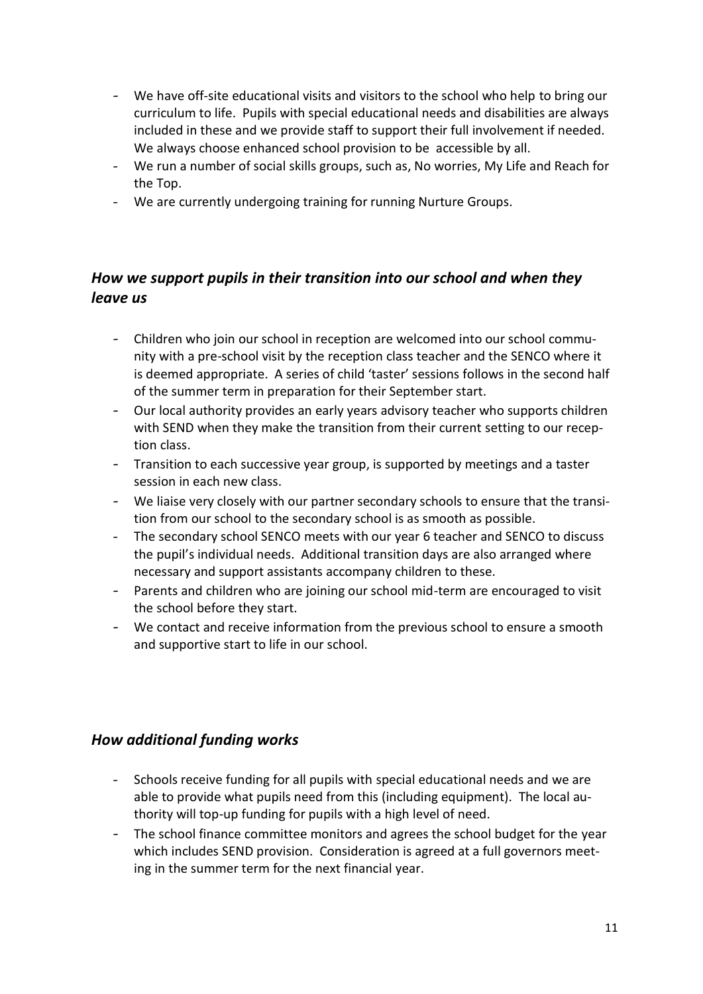- We have off-site educational visits and visitors to the school who help to bring our curriculum to life. Pupils with special educational needs and disabilities are always included in these and we provide staff to support their full involvement if needed. We always choose enhanced school provision to be accessible by all.
- We run a number of social skills groups, such as, No worries, My Life and Reach for the Top.
- We are currently undergoing training for running Nurture Groups.

### *How we support pupils in their transition into our school and when they leave us*

- Children who join our school in reception are welcomed into our school community with a pre-school visit by the reception class teacher and the SENCO where it is deemed appropriate. A series of child 'taster' sessions follows in the second half of the summer term in preparation for their September start.
- Our local authority provides an early years advisory teacher who supports children with SEND when they make the transition from their current setting to our reception class.
- Transition to each successive year group, is supported by meetings and a taster session in each new class.
- We liaise very closely with our partner secondary schools to ensure that the transition from our school to the secondary school is as smooth as possible.
- The secondary school SENCO meets with our year 6 teacher and SENCO to discuss the pupil's individual needs. Additional transition days are also arranged where necessary and support assistants accompany children to these.
- Parents and children who are joining our school mid-term are encouraged to visit the school before they start.
- We contact and receive information from the previous school to ensure a smooth and supportive start to life in our school.

### *How additional funding works*

- Schools receive funding for all pupils with special educational needs and we are able to provide what pupils need from this (including equipment). The local authority will top-up funding for pupils with a high level of need.
- The school finance committee monitors and agrees the school budget for the year which includes SEND provision. Consideration is agreed at a full governors meeting in the summer term for the next financial year.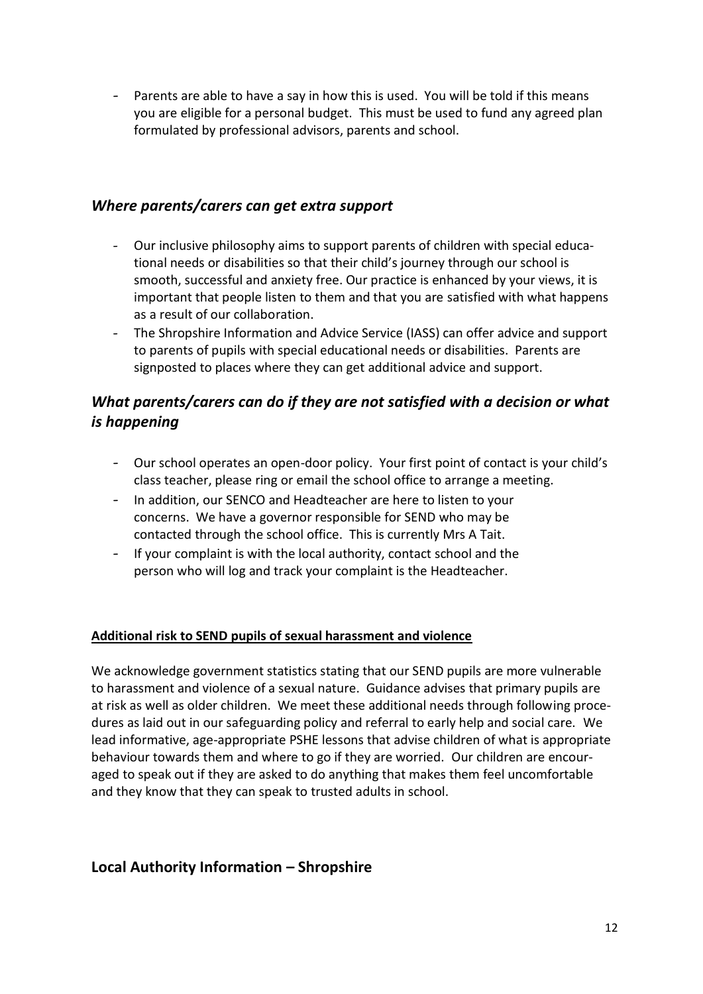- Parents are able to have a say in how this is used. You will be told if this means you are eligible for a personal budget. This must be used to fund any agreed plan formulated by professional advisors, parents and school.

#### *Where parents/carers can get extra support*

- Our inclusive philosophy aims to support parents of children with special educational needs or disabilities so that their child's journey through our school is smooth, successful and anxiety free. Our practice is enhanced by your views, it is important that people listen to them and that you are satisfied with what happens as a result of our collaboration.
- The Shropshire Information and Advice Service (IASS) can offer advice and support to parents of pupils with special educational needs or disabilities. Parents are signposted to places where they can get additional advice and support.

### *What parents/carers can do if they are not satisfied with a decision or what is happening*

- Our school operates an open-door policy. Your first point of contact is your child's class teacher, please ring or email the school office to arrange a meeting.
- In addition, our SENCO and Headteacher are here to listen to your concerns. We have a governor responsible for SEND who may be contacted through the school office. This is currently Mrs A Tait.
- If your complaint is with the local authority, contact school and the person who will log and track your complaint is the Headteacher.

#### **Additional risk to SEND pupils of sexual harassment and violence**

We acknowledge government statistics stating that our SEND pupils are more vulnerable to harassment and violence of a sexual nature. Guidance advises that primary pupils are at risk as well as older children. We meet these additional needs through following procedures as laid out in our safeguarding policy and referral to early help and social care. We lead informative, age-appropriate PSHE lessons that advise children of what is appropriate behaviour towards them and where to go if they are worried. Our children are encouraged to speak out if they are asked to do anything that makes them feel uncomfortable and they know that they can speak to trusted adults in school.

### **Local Authority Information – Shropshire**